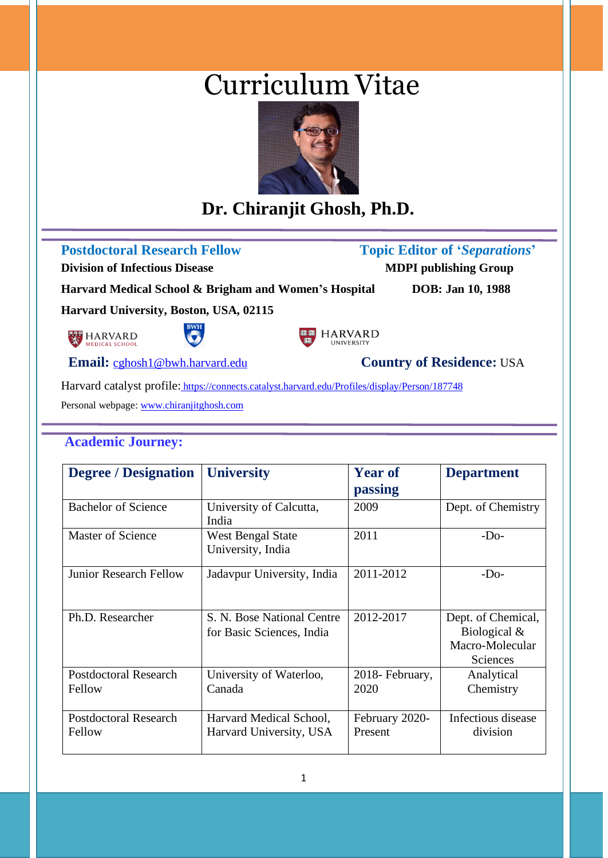# Curriculum Vitae



# **Dr. Chiranjit Ghosh, Ph.D.**

**Postdoctoral Research Fellow****Topic Editor of '***Separations***'**

**Division of Infectious Disease MDPI publishing Group** 

**Harvard Medical School & Brigham and Women's Hospital DOB: Jan 10, 1988**

**Harvard University, Boston, USA, 02115**



j

j





**Email:** [cghosh1@bwh.harvard.edu](mailto:cghosh1@bwh.harvard.edu) **Country of Residence:** USA

Harvard catalyst profile: <https://connects.catalyst.harvard.edu/Profiles/display/Person/187748>

Personal webpage[: www.chiranjitghosh.com](http://www.chiranjitghosh.com/)

## **Academic Journey:**

| <b>Degree / Designation</b>            | <b>University</b>                                       | <b>Year of</b>            | <b>Department</b>                                                 |
|----------------------------------------|---------------------------------------------------------|---------------------------|-------------------------------------------------------------------|
|                                        |                                                         | passing                   |                                                                   |
| <b>Bachelor of Science</b>             | University of Calcutta,<br>India                        | 2009                      | Dept. of Chemistry                                                |
| Master of Science                      | <b>West Bengal State</b><br>University, India           | 2011                      | $-Do-$                                                            |
| <b>Junior Research Fellow</b>          | Jadavpur University, India                              | 2011-2012                 | $-Do-$                                                            |
| Ph.D. Researcher                       | S. N. Bose National Centre<br>for Basic Sciences, India | 2012-2017                 | Dept. of Chemical,<br>Biological &<br>Macro-Molecular<br>Sciences |
| <b>Postdoctoral Research</b><br>Fellow | University of Waterloo,<br>Canada                       | 2018- February,<br>2020   | Analytical<br>Chemistry                                           |
| <b>Postdoctoral Research</b><br>Fellow | Harvard Medical School,<br>Harvard University, USA      | February 2020-<br>Present | Infectious disease<br>division                                    |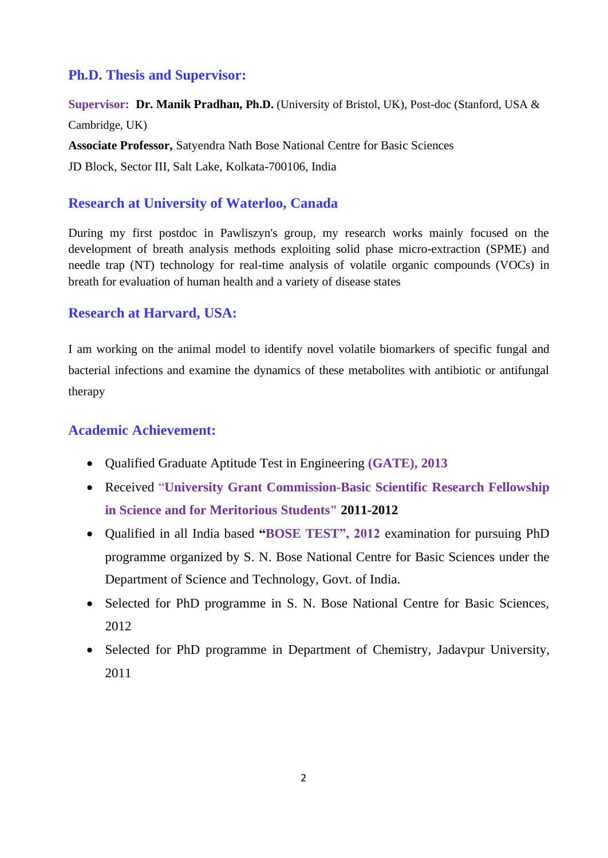#### **Ph.D. Thesis and Supervisor:**

**Supervisor: Dr. Manik Pradhan, Ph.D.** (University of Bristol, UK), Post-doc (Stanford, USA & Cambridge, UK) **Associate Professor,** Satyendra Nath Bose National Centre for Basic Sciences JD Block, Sector III, Salt Lake, Kolkata-700106, India

#### **Research at University of Waterloo, Canada**

During my first postdoc in Pawliszyn's group, my research works mainly focused on the development of breath analysis methods exploiting solid phase micro-extraction (SPME) and needle trap (NT) technology for real-time analysis of volatile organic compounds (VOCs) in breath for evaluation of human health and a variety of disease states

#### **Research at Harvard, USA:**

I am working on the animal model to identify novel volatile biomarkers of specific fungal and bacterial infections and examine the dynamics of these metabolites with antibiotic or antifungal therapy

#### **Academic Achievement:**

- Qualified Graduate Aptitude Test in Engineering **(GATE), 2013**
- Received "**University Grant Commission-Basic Scientific Research Fellowship in Science and for Meritorious Students" 2011-2012**
- Qualified in all India based **"BOSE TEST", 2012** examination for pursuing PhD programme organized by S. N. Bose National Centre for Basic Sciences under the Department of Science and Technology, Govt. of India.
- Selected for PhD programme in S. N. Bose National Centre for Basic Sciences, 2012
- Selected for PhD programme in Department of Chemistry, Jadavpur University, 2011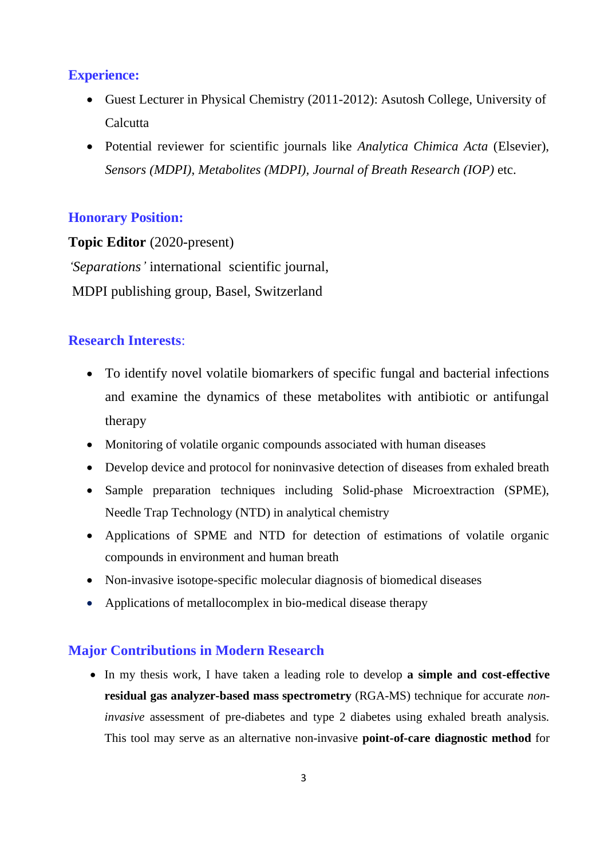#### **Experience:**

- Guest Lecturer in Physical Chemistry (2011-2012): Asutosh College, University of **Calcutta**
- Potential reviewer for scientific journals like *Analytica Chimica Acta* (Elsevier), *Sensors (MDPI)*, *Metabolites (MDPI), Journal of Breath Research (IOP)* etc.

#### **Honorary Position:**

**Topic Editor** (2020-present) *'Separations'* international scientific journal, MDPI publishing group, Basel, Switzerland

#### **Research Interests**:

- To identify novel volatile biomarkers of specific fungal and bacterial infections and examine the dynamics of these metabolites with antibiotic or antifungal therapy
- Monitoring of volatile organic compounds associated with human diseases
- Develop device and protocol for noninvasive detection of diseases from exhaled breath
- Sample preparation techniques including Solid-phase Microextraction (SPME), Needle Trap Technology (NTD) in analytical chemistry
- Applications of SPME and NTD for detection of estimations of volatile organic compounds in environment and human breath
- Non-invasive isotope-specific molecular diagnosis of biomedical diseases
- Applications of metallocomplex in bio-medical disease therapy

#### **Major Contributions in Modern Research**

• In my thesis work, I have taken a leading role to develop **a simple and cost-effective residual gas analyzer-based mass spectrometry** (RGA-MS) technique for accurate *noninvasive* assessment of pre-diabetes and type 2 diabetes using exhaled breath analysis. This tool may serve as an alternative non-invasive **point-of-care diagnostic method** for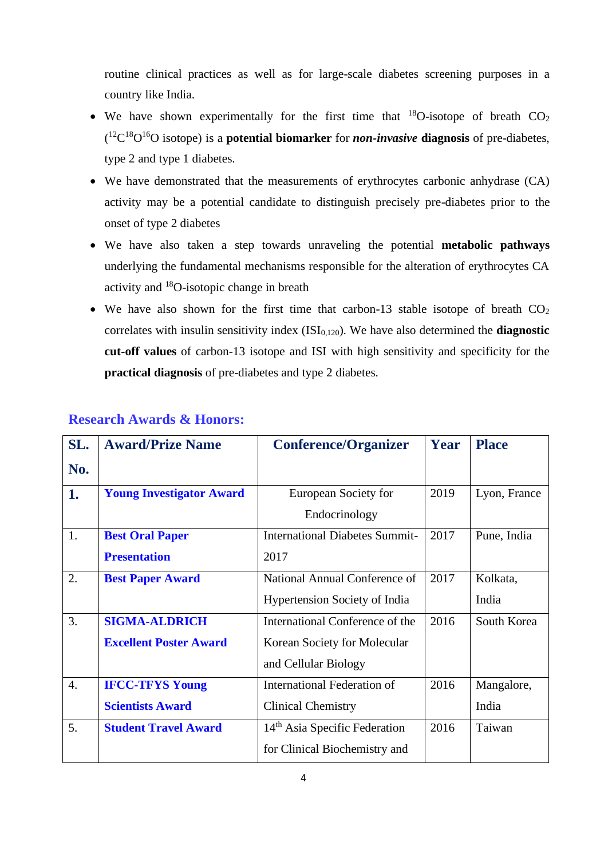routine clinical practices as well as for large-scale diabetes screening purposes in a country like India.

- We have shown experimentally for the first time that  $^{18}O$ -isotope of breath  $CO<sub>2</sub>$ ( <sup>12</sup>C <sup>18</sup>O <sup>16</sup>O isotope) is a **potential biomarker** for *non-invasive* **diagnosis** of pre-diabetes, type 2 and type 1 diabetes.
- We have demonstrated that the measurements of erythrocytes carbonic anhydrase (CA) activity may be a potential candidate to distinguish precisely pre-diabetes prior to the onset of type 2 diabetes
- We have also taken a step towards unraveling the potential **metabolic pathways** underlying the fundamental mechanisms responsible for the alteration of erythrocytes CA activity and <sup>18</sup>O-isotopic change in breath
- We have also shown for the first time that carbon-13 stable isotope of breath  $CO<sub>2</sub>$ correlates with insulin sensitivity index  $(ISI<sub>0.120</sub>)$ . We have also determined the **diagnostic cut-off values** of carbon-13 isotope and ISI with high sensitivity and specificity for the **practical diagnosis** of pre-diabetes and type 2 diabetes.

| SL. | <b>Award/Prize Name</b>         | <b>Conference/Organizer</b>               | Year | <b>Place</b> |
|-----|---------------------------------|-------------------------------------------|------|--------------|
| No. |                                 |                                           |      |              |
| 1.  | <b>Young Investigator Award</b> | European Society for                      | 2019 | Lyon, France |
|     |                                 | Endocrinology                             |      |              |
| 1.  | <b>Best Oral Paper</b>          | <b>International Diabetes Summit-</b>     | 2017 | Pune, India  |
|     | <b>Presentation</b>             | 2017                                      |      |              |
| 2.  | <b>Best Paper Award</b>         | National Annual Conference of             | 2017 | Kolkata,     |
|     |                                 | <b>Hypertension Society of India</b>      |      | India        |
| 3.  | <b>SIGMA-ALDRICH</b>            | International Conference of the           | 2016 | South Korea  |
|     | <b>Excellent Poster Award</b>   | Korean Society for Molecular              |      |              |
|     |                                 | and Cellular Biology                      |      |              |
| 4.  | <b>IFCC-TFYS Young</b>          | <b>International Federation of</b>        | 2016 | Mangalore,   |
|     | <b>Scientists Award</b>         | <b>Clinical Chemistry</b>                 |      | India        |
| 5.  | <b>Student Travel Award</b>     | 14 <sup>th</sup> Asia Specific Federation | 2016 | Taiwan       |
|     |                                 | for Clinical Biochemistry and             |      |              |

#### **Research Awards & Honors:**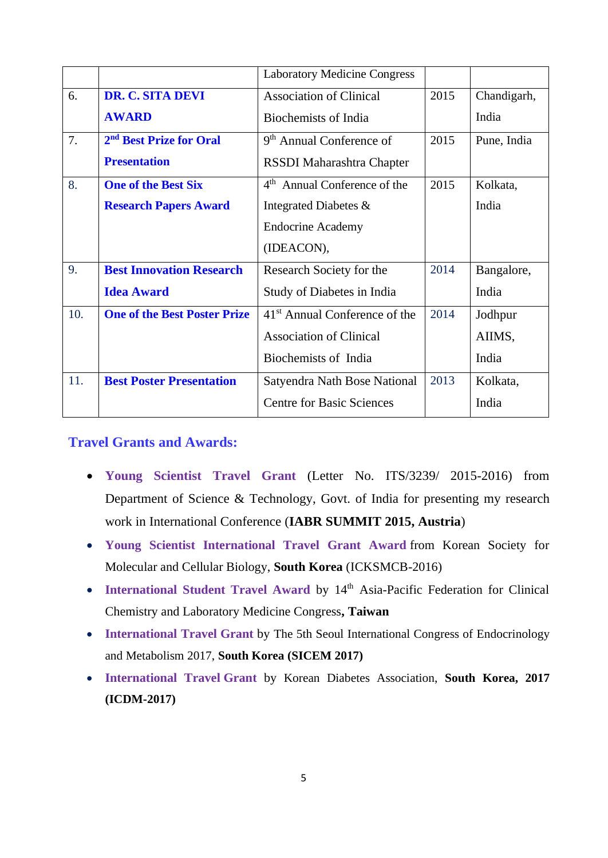|     |                                     | <b>Laboratory Medicine Congress</b>       |      |             |
|-----|-------------------------------------|-------------------------------------------|------|-------------|
| 6.  | <b>DR. C. SITA DEVI</b>             | <b>Association of Clinical</b>            | 2015 | Chandigarh, |
|     | <b>AWARD</b>                        | Biochemists of India                      |      | India       |
| 7.  | 2 <sup>nd</sup> Best Prize for Oral | 9 <sup>th</sup> Annual Conference of      | 2015 | Pune, India |
|     | <b>Presentation</b>                 | RSSDI Maharashtra Chapter                 |      |             |
| 8.  | <b>One of the Best Six</b>          | 4 <sup>th</sup> Annual Conference of the  | 2015 | Kolkata,    |
|     | <b>Research Papers Award</b>        | Integrated Diabetes &                     |      | India       |
|     |                                     | <b>Endocrine Academy</b>                  |      |             |
|     |                                     | (IDEACON),                                |      |             |
| 9.  | <b>Best Innovation Research</b>     | Research Society for the                  | 2014 | Bangalore,  |
|     | <b>Idea Award</b>                   | Study of Diabetes in India                |      | India       |
| 10. | <b>One of the Best Poster Prize</b> | 41 <sup>st</sup> Annual Conference of the | 2014 | Jodhpur     |
|     |                                     | <b>Association of Clinical</b>            |      | AIIMS,      |
|     |                                     | Biochemists of India                      |      | India       |
| 11. | <b>Best Poster Presentation</b>     | Satyendra Nath Bose National              | 2013 | Kolkata,    |
|     |                                     | <b>Centre for Basic Sciences</b>          |      | India       |

#### **Travel Grants and Awards:**

- **Young Scientist Travel Grant** (Letter No. ITS/3239/ 2015-2016) from Department of Science & Technology, Govt. of India for presenting my research work in International Conference (**IABR SUMMIT 2015, Austria**)
- **Young Scientist International Travel Grant Award** from Korean Society for Molecular and Cellular Biology, **South Korea** (ICKSMCB-2016)
- **International Student Travel Award** by 14<sup>th</sup> Asia-Pacific Federation for Clinical Chemistry and Laboratory Medicine Congress**, Taiwan**
- **International Travel Grant** by The 5th Seoul International Congress of Endocrinology and Metabolism 2017, **South Korea (SICEM 2017)**
- **International Travel Grant** by Korean Diabetes Association, **South Korea, 2017 (ICDM-2017)**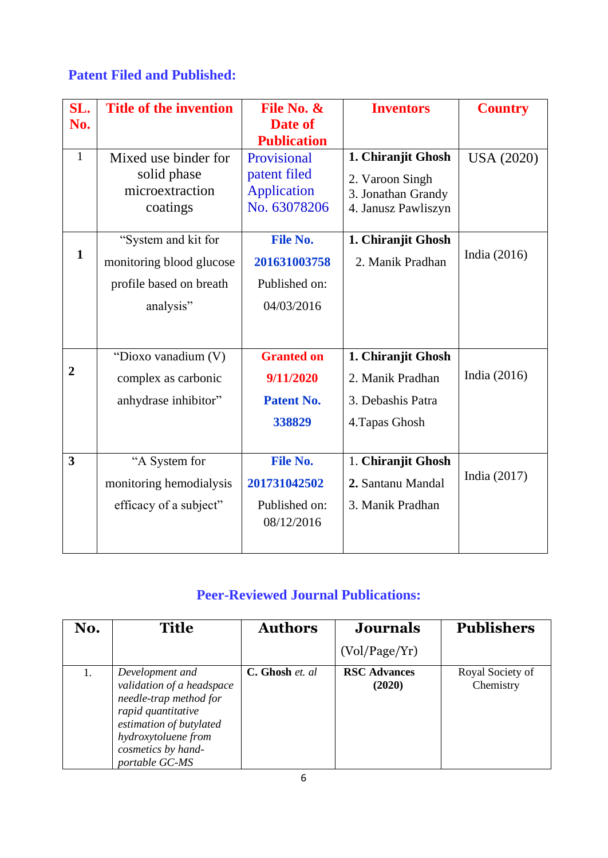## **Patent Filed and Published:**

| SL.                     | <b>Title of the invention</b> | File No. &         | <b>Inventors</b>    | <b>Country</b>    |
|-------------------------|-------------------------------|--------------------|---------------------|-------------------|
| No.                     |                               | Date of            |                     |                   |
|                         |                               | <b>Publication</b> |                     |                   |
| $\mathbf{1}$            | Mixed use binder for          | Provisional        | 1. Chiranjit Ghosh  | <b>USA (2020)</b> |
|                         | solid phase                   | patent filed       | 2. Varoon Singh     |                   |
|                         | microextraction               | <b>Application</b> | 3. Jonathan Grandy  |                   |
|                         | coatings                      | No. 63078206       | 4. Janusz Pawliszyn |                   |
|                         | "System and kit for           | <b>File No.</b>    | 1. Chiranjit Ghosh  |                   |
| $\mathbf{1}$            | monitoring blood glucose      | 201631003758       | 2. Manik Pradhan    | India $(2016)$    |
|                         | profile based on breath       | Published on:      |                     |                   |
|                         | analysis"                     | 04/03/2016         |                     |                   |
|                         |                               |                    |                     |                   |
|                         |                               |                    |                     |                   |
|                         | "Dioxo vanadium (V)           | <b>Granted on</b>  | 1. Chiranjit Ghosh  |                   |
| $\overline{2}$          | complex as carbonic           | 9/11/2020          | 2. Manik Pradhan    | India $(2016)$    |
|                         | anhydrase inhibitor"          | <b>Patent No.</b>  | 3. Debashis Patra   |                   |
|                         |                               | 338829             | 4. Tapas Ghosh      |                   |
|                         |                               |                    |                     |                   |
| $\overline{\mathbf{3}}$ | "A System for                 | <b>File No.</b>    | 1. Chiranjit Ghosh  |                   |
|                         | monitoring hemodialysis       | 201731042502       | 2. Santanu Mandal   | India $(2017)$    |
|                         | efficacy of a subject"        | Published on:      | 3. Manik Pradhan    |                   |
|                         |                               | 08/12/2016         |                     |                   |
|                         |                               |                    |                     |                   |

# **Peer-Reviewed Journal Publications:**

| No. | <b>Title</b>                                                                                                                                                                           | <b>Authors</b>  | <b>Journals</b>               | <b>Publishers</b>             |
|-----|----------------------------------------------------------------------------------------------------------------------------------------------------------------------------------------|-----------------|-------------------------------|-------------------------------|
|     |                                                                                                                                                                                        |                 | (Vol/Page/Yr)                 |                               |
|     | Development and<br>validation of a headspace<br>needle-trap method for<br>rapid quantitative<br>estimation of butylated<br>hydroxytoluene from<br>cosmetics by hand-<br>portable GC-MS | C. Ghosh et. al | <b>RSC Advances</b><br>(2020) | Royal Society of<br>Chemistry |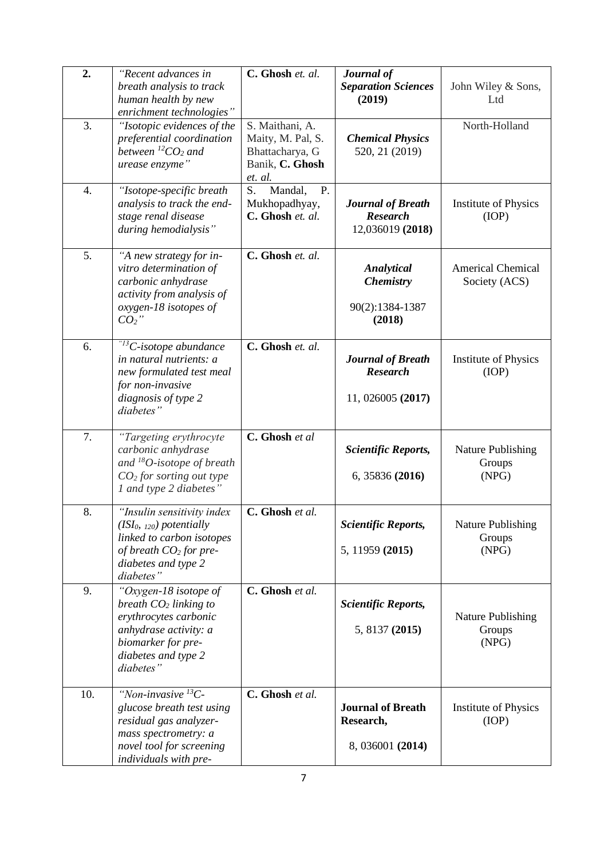| 2.  | "Recent advances in<br>breath analysis to track<br>human health by new<br>enrichment technologies"                                                                      | C. Ghosh et. al.                                                                      | Journal of<br><b>Separation Sciences</b><br>(2019)               | John Wiley & Sons,<br>Ltd                   |
|-----|-------------------------------------------------------------------------------------------------------------------------------------------------------------------------|---------------------------------------------------------------------------------------|------------------------------------------------------------------|---------------------------------------------|
| 3.  | "Isotopic evidences of the<br>preferential coordination<br>between ${}^{12}CO_2$ and<br>urease enzyme"                                                                  | S. Maithani, A.<br>Maity, M. Pal, S.<br>Bhattacharya, G<br>Banik, C. Ghosh<br>et. al. | <b>Chemical Physics</b><br>520, 21 (2019)                        | North-Holland                               |
| 4.  | "Isotope-specific breath<br>analysis to track the end-<br>stage renal disease<br>during hemodialysis"                                                                   | S.<br>P.<br>Mandal,<br>Mukhopadhyay,<br>C. Ghosh et. al.                              | <b>Journal of Breath</b><br><b>Research</b><br>12,036019 (2018)  | <b>Institute of Physics</b><br>(IOP)        |
| 5.  | "A new strategy for in-<br>vitro determination of<br>carbonic anhydrase<br>activity from analysis of<br>oxygen-18 isotopes of<br>$CO2$ "                                | C. Ghosh et. al.                                                                      | Analytical<br><b>Chemistry</b><br>90(2):1384-1387<br>(2018)      | <b>Americal Chemical</b><br>Society (ACS)   |
| 6.  | " <sup>13</sup> C-isotope abundance<br>in natural nutrients: a<br>new formulated test meal<br>for non-invasive<br>diagnosis of type 2<br>diabetes"                      | C. Ghosh et. al.                                                                      | <b>Journal of Breath</b><br><b>Research</b><br>11, 026005 (2017) | <b>Institute of Physics</b><br>(IOP)        |
| 7.  | "Targeting erythrocyte<br>carbonic anhydrase<br>and $^{18}O$ -isotope of breath<br>$CO2$ for sorting out type<br>1 and type 2 diabetes"                                 | C. Ghosh et al                                                                        | <b>Scientific Reports,</b><br>6, 35836 (2016)                    | <b>Nature Publishing</b><br>Groups<br>(NPG) |
| 8.  | "Insulin sensitivity index<br>$(ISI0, 120)$ potentially<br>linked to carbon isotopes<br>of breath $CO2$ for pre-<br>diabetes and type 2<br>diabetes"                    | C. Ghosh et al.                                                                       | <b>Scientific Reports,</b><br>5, 11959 (2015)                    | <b>Nature Publishing</b><br>Groups<br>(NPG) |
| 9.  | "Oxygen-18 isotope of<br>breath $CO2$ linking to<br>erythrocytes carbonic<br>anhydrase activity: a<br>biomarker for pre-<br>diabetes and type 2<br>diabetes"            | C. Ghosh et al.                                                                       | <b>Scientific Reports,</b><br>5, 8137 (2015)                     | Nature Publishing<br>Groups<br>(NPG)        |
| 10. | "Non-invasive $\overline{^{13}C}$ -<br>glucose breath test using<br>residual gas analyzer-<br>mass spectrometry: a<br>novel tool for screening<br>individuals with pre- | C. Ghosh et al.                                                                       | <b>Journal of Breath</b><br>Research,<br>8, 036001 (2014)        | <b>Institute of Physics</b><br>(IOP)        |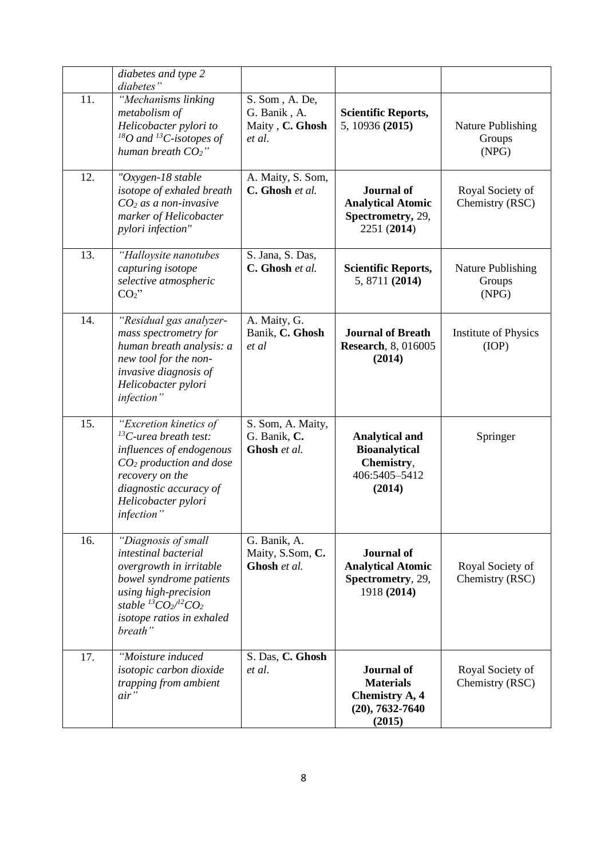|     | diabetes and type 2<br>diabetes"                                                                                                                                                                        |                                                             |                                                                                                 |                                      |
|-----|---------------------------------------------------------------------------------------------------------------------------------------------------------------------------------------------------------|-------------------------------------------------------------|-------------------------------------------------------------------------------------------------|--------------------------------------|
| 11. | "Mechanisms linking<br>metabolism of<br>Helicobacter pylori to<br>$^{18}O$ and $^{13}C$ -isotopes of<br>human breath $CO2$ "                                                                            | S. Som, A. De,<br>G. Banik, A.<br>Maity, C. Ghosh<br>et al. | <b>Scientific Reports,</b><br>5, 10936 (2015)                                                   | Nature Publishing<br>Groups<br>(NPG) |
| 12. | "Oxygen-18 stable<br>isotope of exhaled breath<br>$CO2$ as a non-invasive<br>marker of Helicobacter<br>pylori infection"                                                                                | A. Maity, S. Som,<br>C. Ghosh et al.                        | <b>Journal</b> of<br><b>Analytical Atomic</b><br>Spectrometry, 29,<br>2251 (2014)               | Royal Society of<br>Chemistry (RSC)  |
| 13. | "Halloysite nanotubes<br>capturing isotope<br>selective atmospheric<br>$CO2$ "                                                                                                                          | S. Jana, S. Das,<br>C. Ghosh et al.                         | <b>Scientific Reports,</b><br>5, 8711 (2014)                                                    | Nature Publishing<br>Groups<br>(NPG) |
| 14. | "Residual gas analyzer-<br>mass spectrometry for<br>human breath analysis: a<br>new tool for the non-<br>invasive diagnosis of<br>Helicobacter pylori<br>infection"                                     | A. Maity, G.<br>Banik, C. Ghosh<br>et al                    | <b>Journal of Breath</b><br><b>Research</b> , 8, 016005<br>(2014)                               | Institute of Physics<br>(IOP)        |
| 15. | "Excretion kinetics of<br>$^{13}$ C-urea breath test:<br>influences of endogenous<br>$CO2$ production and dose<br>recovery on the<br>diagnostic accuracy of<br>Helicobacter pylori<br>infection"        | S. Som, A. Maity,<br>G. Banik, C.<br>Ghosh et al.           | <b>Analytical and</b><br><b>Bioanalytical</b><br>Chemistry,<br>406:5405-5412<br>(2014)          | Springer                             |
| 16. | "Diagnosis of small<br>intestinal bacterial<br>overgrowth in irritable<br>bowel syndrome patients<br>using high-precision<br>stable ${}^{13}CO_2$ ${}^{12}CO_2$<br>isotope ratios in exhaled<br>breath" | G. Banik, A.<br>Maity, S.Som, C.<br>Ghosh et al.            | <b>Journal</b> of<br><b>Analytical Atomic</b><br>Spectrometry, 29,<br>1918 (2014)               | Royal Society of<br>Chemistry (RSC)  |
| 17. | "Moisture induced<br>isotopic carbon dioxide<br>trapping from ambient<br>$air$ "                                                                                                                        | S. Das, C. Ghosh<br>et al.                                  | <b>Journal</b> of<br><b>Materials</b><br><b>Chemistry A, 4</b><br>$(20), 7632 - 7640$<br>(2015) | Royal Society of<br>Chemistry (RSC)  |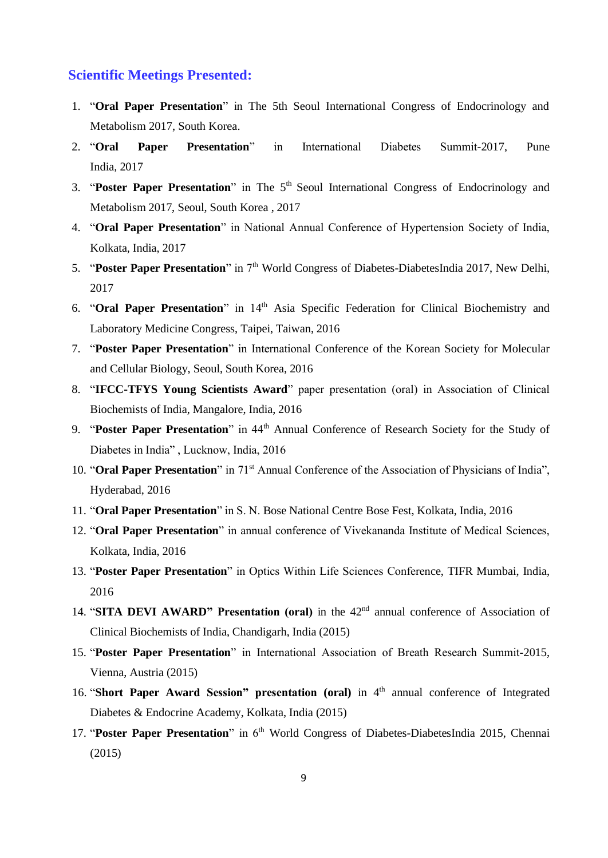#### **Scientific Meetings Presented:**

- 1. "**Oral Paper Presentation**" in The 5th Seoul International Congress of Endocrinology and Metabolism 2017, South Korea.
- 2. "**Oral Paper Presentation**" in International Diabetes Summit-2017, Pune India, 2017
- 3. "**Poster Paper Presentation**" in The 5th Seoul International Congress of Endocrinology and Metabolism 2017, Seoul, South Korea , 2017
- 4. "**Oral Paper Presentation**" in National Annual Conference of Hypertension Society of India, Kolkata, India, 2017
- 5. **"Poster Paper Presentation"** in 7<sup>th</sup> World Congress of Diabetes-DiabetesIndia 2017, New Delhi, 2017
- 6. "**Oral Paper Presentation**" in 14th Asia Specific Federation for Clinical Biochemistry and Laboratory Medicine Congress, Taipei, Taiwan, 2016
- 7. "**Poster Paper Presentation**" in International Conference of the Korean Society for Molecular and Cellular Biology, Seoul, South Korea, 2016
- 8. "**IFCC-TFYS Young Scientists Award**" paper presentation (oral) in Association of Clinical Biochemists of India, Mangalore, India, 2016
- 9. "Poster Paper Presentation" in 44<sup>th</sup> Annual Conference of Research Society for the Study of Diabetes in India" , Lucknow, India, 2016
- 10. "**Oral Paper Presentation**" in 71st Annual Conference of the Association of Physicians of India", Hyderabad, 2016
- 11. "**Oral Paper Presentation**" in S. N. Bose National Centre Bose Fest, Kolkata, India, 2016
- 12. "**Oral Paper Presentation**" in annual conference of Vivekananda Institute of Medical Sciences, Kolkata, India, 2016
- 13. "**Poster Paper Presentation**" in Optics Within Life Sciences Conference, TIFR Mumbai, India, 2016
- 14. "**SITA DEVI AWARD" Presentation (oral)** in the 42<sup>nd</sup> annual conference of Association of Clinical Biochemists of India, Chandigarh, India (2015)
- 15. "**Poster Paper Presentation**" in International Association of Breath Research Summit-2015, Vienna, Austria (2015)
- 16. "Short Paper Award Session" presentation (oral) in 4<sup>th</sup> annual conference of Integrated Diabetes & Endocrine Academy, Kolkata, India (2015)
- 17. "Poster Paper Presentation" in 6<sup>th</sup> World Congress of Diabetes-DiabetesIndia 2015, Chennai (2015)